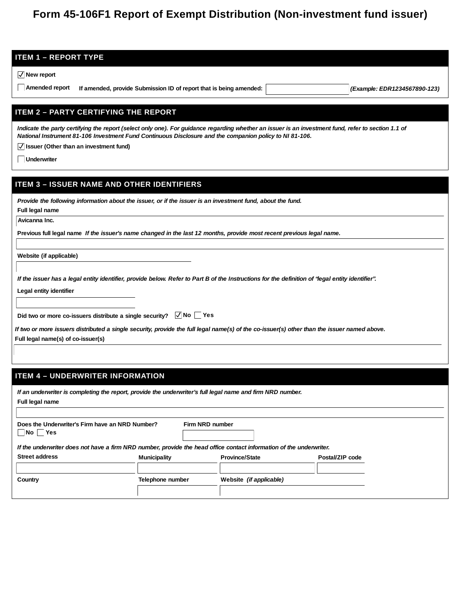# **Form 45-106F1 Report of Exempt Distribution (Non-investment fund issuer)**

| <b>ITEM 1 - REPORT TYPE</b>                                                                                                                                                                                                                                                                                        |
|--------------------------------------------------------------------------------------------------------------------------------------------------------------------------------------------------------------------------------------------------------------------------------------------------------------------|
| $\sqrt{\ }$ New report                                                                                                                                                                                                                                                                                             |
| Amended report<br>If amended, provide Submission ID of report that is being amended:<br>(Example: EDR1234567890-123)                                                                                                                                                                                               |
|                                                                                                                                                                                                                                                                                                                    |
| <b>ITEM 2 - PARTY CERTIFYING THE REPORT</b>                                                                                                                                                                                                                                                                        |
| Indicate the party certifying the report (select only one). For guidance regarding whether an issuer is an investment fund, refer to section 1.1 of<br>National Instrument 81-106 Investment Fund Continuous Disclosure and the companion policy to NI 81-106.<br>$\sqrt{}$ Issuer (Other than an investment fund) |
| Underwriter                                                                                                                                                                                                                                                                                                        |
|                                                                                                                                                                                                                                                                                                                    |
| <b>ITEM 3 - ISSUER NAME AND OTHER IDENTIFIERS</b>                                                                                                                                                                                                                                                                  |
| Provide the following information about the issuer, or if the issuer is an investment fund, about the fund.                                                                                                                                                                                                        |
| Full legal name                                                                                                                                                                                                                                                                                                    |
| Avicanna Inc.                                                                                                                                                                                                                                                                                                      |
| Previous full legal name If the issuer's name changed in the last 12 months, provide most recent previous legal name.                                                                                                                                                                                              |
| Website (if applicable)                                                                                                                                                                                                                                                                                            |
|                                                                                                                                                                                                                                                                                                                    |
| If the issuer has a legal entity identifier, provide below. Refer to Part B of the Instructions for the definition of "legal entity identifier".                                                                                                                                                                   |
| Legal entity identifier                                                                                                                                                                                                                                                                                            |
|                                                                                                                                                                                                                                                                                                                    |
| Did two or more co-issuers distribute a single security? $\Box$ No $\Box$ Yes                                                                                                                                                                                                                                      |
| If two or more issuers distributed a single security, provide the full legal name(s) of the co-issuer(s) other than the issuer named above.                                                                                                                                                                        |
| Full legal name(s) of co-issuer(s)                                                                                                                                                                                                                                                                                 |
|                                                                                                                                                                                                                                                                                                                    |
|                                                                                                                                                                                                                                                                                                                    |
| <b>ITEM 4 - UNDERWRITER INFORMATION</b>                                                                                                                                                                                                                                                                            |

| Full legal name                                                                                                     |                  |                 |                         |                 |
|---------------------------------------------------------------------------------------------------------------------|------------------|-----------------|-------------------------|-----------------|
| Does the Underwriter's Firm have an NRD Number?<br>$\overline{\mathsf{No}}$<br><b>Yes</b>                           |                  | Firm NRD number |                         |                 |
| If the underwriter does not have a firm NRD number, provide the head office contact information of the underwriter. |                  |                 |                         |                 |
| Street address                                                                                                      | Municipality     |                 | Province/State          | Postal/ZIP code |
|                                                                                                                     |                  |                 |                         |                 |
| Country                                                                                                             | Telephone number |                 | Website (if applicable) |                 |
|                                                                                                                     |                  |                 |                         |                 |

*If an underwriter is completing the report, provide the underwriter's full legal name and firm NRD number.*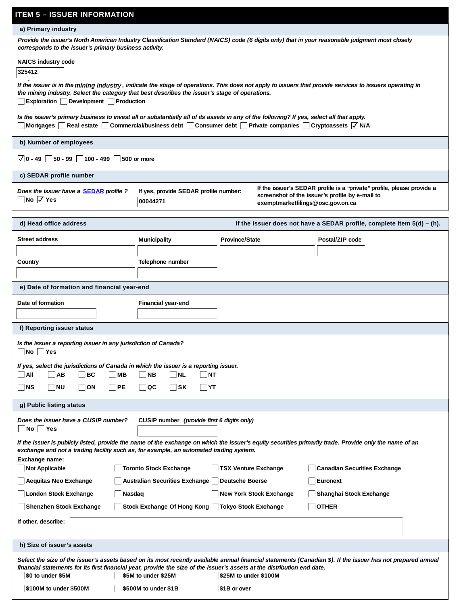| <b>ITEM 5 – ISSUER INFORMATION</b>                                                                                                                                                                                                                |                                                      |                                                                                                     |                                                                                                                                                                |
|---------------------------------------------------------------------------------------------------------------------------------------------------------------------------------------------------------------------------------------------------|------------------------------------------------------|-----------------------------------------------------------------------------------------------------|----------------------------------------------------------------------------------------------------------------------------------------------------------------|
| a) Primary industry                                                                                                                                                                                                                               |                                                      |                                                                                                     |                                                                                                                                                                |
| Provide the issuer's North American Industry Classification Standard (NAICS) code (6 digits only) that in your reasonable judgment most closely<br>corresponds to the issuer's primary business activity.                                         |                                                      |                                                                                                     |                                                                                                                                                                |
| NAICS industry code                                                                                                                                                                                                                               |                                                      |                                                                                                     |                                                                                                                                                                |
| 325412                                                                                                                                                                                                                                            |                                                      |                                                                                                     |                                                                                                                                                                |
| the mining industry. Select the category that best describes the issuer's stage of operations.<br>Exploration Development Production                                                                                                              |                                                      |                                                                                                     | If the issuer is in the mining industry, indicate the stage of operations. This does not apply to issuers that provide services to issuers operating in        |
| Is the issuer's primary business to invest all or substantially all of its assets in any of the following? If yes, select all that apply.<br>Mortgages                                                                                            |                                                      | Real estate Commercial/business debt Consumer debt Private companies Cryptoassets $\sqrt{\sqrt{N}}$ |                                                                                                                                                                |
| b) Number of employees                                                                                                                                                                                                                            |                                                      |                                                                                                     |                                                                                                                                                                |
| $\sqrt{0}$ - 49 $\sqrt{50}$ - 99 $\sqrt{100}$ - 499 $\sqrt{500}$ or more                                                                                                                                                                          |                                                      |                                                                                                     |                                                                                                                                                                |
| c) SEDAR profile number                                                                                                                                                                                                                           |                                                      |                                                                                                     |                                                                                                                                                                |
| Does the issuer have a <b>SEDAR</b> profile ?<br>$\Box$ No $\Box$ Yes                                                                                                                                                                             | If yes, provide SEDAR profile number:<br>00044271    |                                                                                                     | If the issuer's SEDAR profile is a "private" profile, please provide a<br>screenshot of the issuer's profile by e-mail to<br>exemptmarketfilings@osc.gov.on.ca |
| d) Head office address                                                                                                                                                                                                                            |                                                      |                                                                                                     | If the issuer does not have a SEDAR profile, complete Item 5(d) - (h).                                                                                         |
| Street address                                                                                                                                                                                                                                    | Municipality                                         | Province/State                                                                                      | Postal/ZIP code                                                                                                                                                |
|                                                                                                                                                                                                                                                   |                                                      |                                                                                                     |                                                                                                                                                                |
| Country                                                                                                                                                                                                                                           | Telephone number                                     |                                                                                                     |                                                                                                                                                                |
|                                                                                                                                                                                                                                                   |                                                      |                                                                                                     |                                                                                                                                                                |
| e) Date of formation and financial year-end                                                                                                                                                                                                       |                                                      |                                                                                                     |                                                                                                                                                                |
| Date of formation                                                                                                                                                                                                                                 | Financial year-end                                   |                                                                                                     |                                                                                                                                                                |
|                                                                                                                                                                                                                                                   |                                                      |                                                                                                     |                                                                                                                                                                |
| f) Reporting issuer status                                                                                                                                                                                                                        |                                                      |                                                                                                     |                                                                                                                                                                |
| Is the issuer a reporting issuer in any jurisdiction of Canada?<br>   No    Yes                                                                                                                                                                   |                                                      |                                                                                                     |                                                                                                                                                                |
| If yes, select the jurisdictions of Canada in which the issuer is a reporting issuer.<br>$ $ All<br><b>AB</b><br> BC<br> MB                                                                                                                       | NB<br>$\overline{\mathsf{NL}}$<br><b>NT</b>          |                                                                                                     |                                                                                                                                                                |
| NS<br><b>NU</b><br><b>ON</b><br>PE                                                                                                                                                                                                                | QC<br>∣SK<br> YT                                     |                                                                                                     |                                                                                                                                                                |
| g) Public listing status                                                                                                                                                                                                                          |                                                      |                                                                                                     |                                                                                                                                                                |
|                                                                                                                                                                                                                                                   |                                                      |                                                                                                     |                                                                                                                                                                |
| Does the issuer have a CUSIP number?<br>No Yes                                                                                                                                                                                                    | CUSIP number (provide first 6 digits only)           |                                                                                                     |                                                                                                                                                                |
| If the issuer is publicly listed, provide the name of the exchange on which the issuer's equity securities primarily trade. Provide only the name of an<br>exchange and not a trading facility such as, for example, an automated trading system. |                                                      |                                                                                                     |                                                                                                                                                                |
| Exchange name:<br>Not Applicable                                                                                                                                                                                                                  | Toronto Stock Exchange                               | <b>TSX Venture Exchange</b>                                                                         | Canadian Securities Exchange                                                                                                                                   |
| Aequitas Neo Exchange                                                                                                                                                                                                                             | Australian Securities Exchange                       | Deutsche Boerse                                                                                     | Euronext                                                                                                                                                       |
| London Stock Exchange<br>Nasdaq                                                                                                                                                                                                                   |                                                      | New York Stock Exchange                                                                             | Shanghai Stock Exchange                                                                                                                                        |
| Shenzhen Stock Exchange                                                                                                                                                                                                                           | Stock Exchange Of Hong Kong     Tokyo Stock Exchange |                                                                                                     | <b>OTHER</b>                                                                                                                                                   |
| If other, describe:                                                                                                                                                                                                                               |                                                      |                                                                                                     |                                                                                                                                                                |
| h) Size of issuer's assets                                                                                                                                                                                                                        |                                                      |                                                                                                     |                                                                                                                                                                |
| financial statements for its first financial year, provide the size of the issuer's assets at the distribution end date.<br>\$0 to under \$5M                                                                                                     | \$5M to under \$25M                                  | \$25M to under \$100M                                                                               | Select the size of the issuer's assets based on its most recently available annual financial statements (Canadian \$). If the issuer has not prepared annual   |
| \$100M to under \$500M                                                                                                                                                                                                                            | \$500M to under \$1B                                 | \$1B or over                                                                                        |                                                                                                                                                                |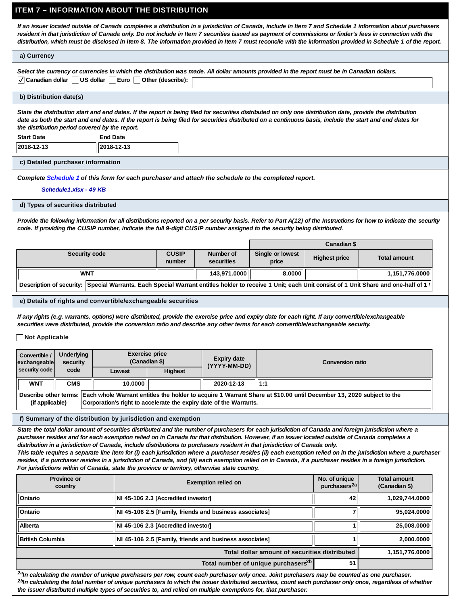## **ITEM 7 – INFORMATION ABOUT THE DISTRIBUTION**

*If an issuer located outside of Canada completes a distribution in a jurisdiction of Canada, include in Item 7 and Schedule 1 information about purchasers resident in that jurisdiction of Canada only. Do not include in Item 7 securities issued as payment of commissions or finder's fees in connection with the distribution, which must be disclosed in Item 8. The information provided in Item 7 must reconcile with the information provided in Schedule 1 of the report.*

### **a) Currency**

| Select the currency or currencies in which the distribution was made. All dollar amounts provided in the report must be in Canadian dollars. |  |
|----------------------------------------------------------------------------------------------------------------------------------------------|--|
| √ Canadian dollar US dollar Euro Other (describe):                                                                                           |  |

### **b) Distribution date(s)**

*State the distribution start and end dates. If the report is being filed for securities distributed on only one distribution date, provide the distribution date as both the start and end dates. If the report is being filed for securities distributed on a continuous basis, include the start and end dates for the distribution period covered by the report.* **End Date**

**2018-12-13 2018-12-13**

#### **c) Detailed purchaser information**

#### *Complete [Schedule 1](http://www.osc.gov.on.ca/documents/en/Securities-Category4/rule_20181005_revised-schedule-template-1.xlsx) of this form for each purchaser and attach the schedule to the completed report.*

Schedule1.xlsx - 49 KB

#### **d) Types of securities distributed**

*Provide the following information for all distributions reported on a per security basis. Refer to Part A(12) of the Instructions for how to indicate the security code. If providing the CUSIP number, indicate the full 9-digit CUSIP number assigned to the security being distributed.*

|                                                                                                                                                        |                        |                         |                           | Canadian \$   |                  |
|--------------------------------------------------------------------------------------------------------------------------------------------------------|------------------------|-------------------------|---------------------------|---------------|------------------|
| Security code                                                                                                                                          | <b>CUSIP</b><br>number | Number of<br>securities | Single or lowest<br>price | Highest price | Total amount     |
| WNT                                                                                                                                                    |                        | 143,971.0000            | 8.0000                    |               | ∥151,776.0000, 1 |
| Description of security: Special Warrants. Each Special Warrant entitles holder to receive 1 Unit; each Unit consist of 1 Unit Share and one-half of 1 |                        |                         |                           |               |                  |

#### **e) Details of rights and convertible/exchangeable securities**

*If any rights (e.g. warrants, options) were distributed, provide the exercise price and expiry date for each right. If any convertible/exchangeable securities were distributed, provide the conversion ratio and describe any other terms for each convertible/exchangeable security.*

### **Not Applicable**

| Convertible /<br>exchangeable | Underlying<br>security |                                                                    | Exercise price<br>(Canadian \$) | Expiry date<br>(YYYY-MM-DD) | Conversion ratio                                                                                                                          |
|-------------------------------|------------------------|--------------------------------------------------------------------|---------------------------------|-----------------------------|-------------------------------------------------------------------------------------------------------------------------------------------|
| security code                 | code                   | Lowest                                                             | Highest                         |                             |                                                                                                                                           |
| <b>WNT</b>                    | <b>CMS</b>             | 10.0000                                                            |                                 | 2020-12-13                  | 1:1                                                                                                                                       |
| (if applicable)               |                        | Corporation's right to accelerate the expiry date of the Warrants. |                                 |                             | Describe other terms: Each whole Warrant entitles the holder to acquire 1 Warrant Share at \$10.00 until December 13, 2020 subject to the |

#### **f) Summary of the distribution by jurisdiction and exemption**

*State the total dollar amount of securities distributed and the number of purchasers for each jurisdiction of Canada and foreign jurisdiction where a purchaser resides and for each exemption relied on in Canada for that distribution. However, if an issuer located outside of Canada completes a distribution in a jurisdiction of Canada, include distributions to purchasers resident in that jurisdiction of Canada only.*

*This table requires a separate line item for (i) each jurisdiction where a purchaser resides (ii) each exemption relied on in the jurisdiction where a purchaser resides, if a purchaser resides in a jurisdiction of Canada, and (iii) each exemption relied on in Canada, if a purchaser resides in a foreign jurisdiction. For jurisdictions within of Canada, state the province or territory, otherwise state country.*

| Province or<br>country  | Exemption relied on                                     | No. of unique<br>purchasers <sup>2a</sup> | Total amount<br>(Canadian \$) |
|-------------------------|---------------------------------------------------------|-------------------------------------------|-------------------------------|
| Ontario                 | NI 45-106 2.3 [Accredited investor]                     | 42                                        | 1,029,744.0000                |
| Ontario                 | NI 45-106 2.5 [Family, friends and business associates] |                                           | 95,024.0000                   |
| Alberta                 | NI 45-106 2.3 [Accredited investor]                     |                                           | 25,008.0000                   |
| <b>British Columbia</b> | NI 45-106 2.5 [Family, friends and business associates] |                                           | 2,000.0000                    |
|                         | Total dollar amount of securities distributed           |                                           | 1,151,776.0000                |
|                         | Total number of unique purchasers <sup>2b</sup>         | 51                                        |                               |

 *In calculating the number of unique purchasers per row, count each purchaser only once. Joint purchasers may be counted as one purchaser. 2a In calculating the total number of unique purchasers to which the issuer distributed securities, count each purchaser only once, regardless of whether 2b the issuer distributed multiple types of securities to, and relied on multiple exemptions for, that purchaser.*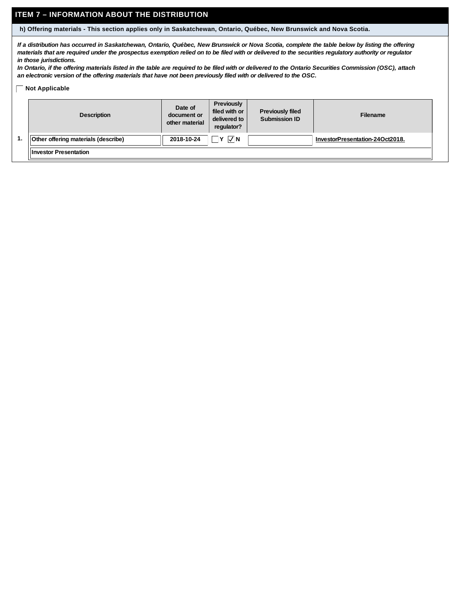# **ITEM 7 – INFORMATION ABOUT THE DISTRIBUTION**

**h) Offering materials - This section applies only in Saskatchewan, Ontario, Québec, New Brunswick and Nova Scotia.**

*If a distribution has occurred in Saskatchewan, Ontario, Québec, New Brunswick or Nova Scotia, complete the table below by listing the offering materials that are required under the prospectus exemption relied on to be filed with or delivered to the securities regulatory authority or regulator in those jurisdictions.*

*In Ontario, if the offering materials listed in the table are required to be filed with or delivered to the Ontario Securities Commission (OSC), attach an electronic version of the offering materials that have not been previously filed with or delivered to the OSC.*

### **Not Applicable**

| Description                         | Date of<br>document or<br>other material | Previously<br>filed with or<br>delivered to<br>regulator? | Previously filed<br>Submission ID | Filename                        |
|-------------------------------------|------------------------------------------|-----------------------------------------------------------|-----------------------------------|---------------------------------|
| Other offering materials (describe) | 2018-10-24                               | $\nabla N$<br>Iv.                                         |                                   | InvestorPresentation-24Oct2018. |
| <b>Investor Presentation</b>        |                                          |                                                           |                                   |                                 |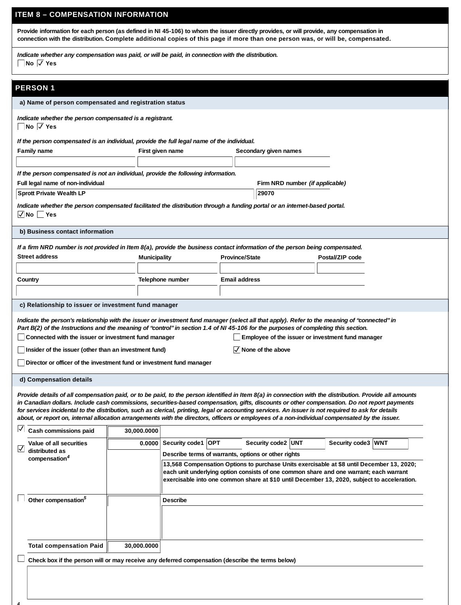# **ITEM 8 – COMPENSATION INFORMATION**

**Provide information for each person (as defined in NI 45-106) to whom the issuer directly provides, or will provide, any compensation in** connection with the distribution. Complete additional copies of this page if more than one person was, or will be, compensated.

*Indicate whether any compensation was paid, or will be paid, in connection with the distribution.* **No Yes**

# **PERSON 1**

*4*

| ENJUN I                                                                                                                                                                                                                                                                                                                                                                                                                                                                                                                                                                                                          |              |                                                     |                |                                                                                                                                                                                       |                    |  |
|------------------------------------------------------------------------------------------------------------------------------------------------------------------------------------------------------------------------------------------------------------------------------------------------------------------------------------------------------------------------------------------------------------------------------------------------------------------------------------------------------------------------------------------------------------------------------------------------------------------|--------------|-----------------------------------------------------|----------------|---------------------------------------------------------------------------------------------------------------------------------------------------------------------------------------|--------------------|--|
| a) Name of person compensated and registration status                                                                                                                                                                                                                                                                                                                                                                                                                                                                                                                                                            |              |                                                     |                |                                                                                                                                                                                       |                    |  |
| Indicate whether the person compensated is a registrant.<br>No √ Yes                                                                                                                                                                                                                                                                                                                                                                                                                                                                                                                                             |              |                                                     |                |                                                                                                                                                                                       |                    |  |
| If the person compensated is an individual, provide the full legal name of the individual.                                                                                                                                                                                                                                                                                                                                                                                                                                                                                                                       |              |                                                     |                |                                                                                                                                                                                       |                    |  |
| Family name                                                                                                                                                                                                                                                                                                                                                                                                                                                                                                                                                                                                      |              | First given name                                    |                | Secondary given names                                                                                                                                                                 |                    |  |
|                                                                                                                                                                                                                                                                                                                                                                                                                                                                                                                                                                                                                  |              |                                                     |                |                                                                                                                                                                                       |                    |  |
| If the person compensated is not an individual, provide the following information.                                                                                                                                                                                                                                                                                                                                                                                                                                                                                                                               |              |                                                     |                |                                                                                                                                                                                       |                    |  |
| Full legal name of non-individual                                                                                                                                                                                                                                                                                                                                                                                                                                                                                                                                                                                |              |                                                     |                | Firm NRD number (if applicable)                                                                                                                                                       |                    |  |
| Sprott Private Wealth LP                                                                                                                                                                                                                                                                                                                                                                                                                                                                                                                                                                                         |              |                                                     |                | 29070                                                                                                                                                                                 |                    |  |
| Indicate whether the person compensated facilitated the distribution through a funding portal or an internet-based portal.                                                                                                                                                                                                                                                                                                                                                                                                                                                                                       |              |                                                     |                |                                                                                                                                                                                       |                    |  |
| √ No∣ Yes                                                                                                                                                                                                                                                                                                                                                                                                                                                                                                                                                                                                        |              |                                                     |                |                                                                                                                                                                                       |                    |  |
| b) Business contact information                                                                                                                                                                                                                                                                                                                                                                                                                                                                                                                                                                                  |              |                                                     |                |                                                                                                                                                                                       |                    |  |
| If a firm NRD number is not provided in Item 8(a), provide the business contact information of the person being compensated.                                                                                                                                                                                                                                                                                                                                                                                                                                                                                     |              |                                                     |                |                                                                                                                                                                                       |                    |  |
| Street address                                                                                                                                                                                                                                                                                                                                                                                                                                                                                                                                                                                                   | Municipality |                                                     | Province/State |                                                                                                                                                                                       | Postal/ZIP code    |  |
|                                                                                                                                                                                                                                                                                                                                                                                                                                                                                                                                                                                                                  |              |                                                     |                |                                                                                                                                                                                       |                    |  |
| Country                                                                                                                                                                                                                                                                                                                                                                                                                                                                                                                                                                                                          |              | Telephone number                                    | Email address  |                                                                                                                                                                                       |                    |  |
|                                                                                                                                                                                                                                                                                                                                                                                                                                                                                                                                                                                                                  |              |                                                     |                |                                                                                                                                                                                       |                    |  |
| c) Relationship to issuer or investment fund manager                                                                                                                                                                                                                                                                                                                                                                                                                                                                                                                                                             |              |                                                     |                |                                                                                                                                                                                       |                    |  |
|                                                                                                                                                                                                                                                                                                                                                                                                                                                                                                                                                                                                                  |              |                                                     |                |                                                                                                                                                                                       |                    |  |
| Indicate the person's relationship with the issuer or investment fund manager (select all that apply). Refer to the meaning of "connected" in<br>Part B(2) of the Instructions and the meaning of "control" in section 1.4 of NI 45-106 for the purposes of completing this section.                                                                                                                                                                                                                                                                                                                             |              |                                                     |                |                                                                                                                                                                                       |                    |  |
| Connected with the issuer or investment fund manager                                                                                                                                                                                                                                                                                                                                                                                                                                                                                                                                                             |              |                                                     |                | Employee of the issuer or investment fund manager                                                                                                                                     |                    |  |
|                                                                                                                                                                                                                                                                                                                                                                                                                                                                                                                                                                                                                  |              |                                                     |                |                                                                                                                                                                                       |                    |  |
| Insider of the issuer (other than an investment fund)                                                                                                                                                                                                                                                                                                                                                                                                                                                                                                                                                            |              |                                                     |                | $\sqrt{}$ None of the above                                                                                                                                                           |                    |  |
| Director or officer of the investment fund or investment fund manager                                                                                                                                                                                                                                                                                                                                                                                                                                                                                                                                            |              |                                                     |                |                                                                                                                                                                                       |                    |  |
| d) Compensation details                                                                                                                                                                                                                                                                                                                                                                                                                                                                                                                                                                                          |              |                                                     |                |                                                                                                                                                                                       |                    |  |
| Provide details of all compensation paid, or to be paid, to the person identified in Item 8(a) in connection with the distribution. Provide all amounts<br>in Canadian dollars. Include cash commissions, securities-based compensation, gifts, discounts or other compensation. Do not report payments<br>for services incidental to the distribution, such as clerical, printing, legal or accounting services. An issuer is not required to ask for details<br>about, or report on, internal allocation arrangements with the directors, officers or employees of a non-individual compensated by the issuer. |              |                                                     |                |                                                                                                                                                                                       |                    |  |
| ⊻<br>Cash commissions paid                                                                                                                                                                                                                                                                                                                                                                                                                                                                                                                                                                                       | 30,000.0000  |                                                     |                |                                                                                                                                                                                       |                    |  |
| Value of all securities                                                                                                                                                                                                                                                                                                                                                                                                                                                                                                                                                                                          |              | 0.0000 Security code1 OPT                           |                | Security code2 UNT                                                                                                                                                                    | Security code3 WNT |  |
| distributed as<br>compensation <sup>4</sup>                                                                                                                                                                                                                                                                                                                                                                                                                                                                                                                                                                      |              | Describe terms of warrants, options or other rights |                |                                                                                                                                                                                       |                    |  |
|                                                                                                                                                                                                                                                                                                                                                                                                                                                                                                                                                                                                                  |              |                                                     |                | 13,568 Compensation Options to purchase Units exercisable at \$8 until December 13, 2020;                                                                                             |                    |  |
|                                                                                                                                                                                                                                                                                                                                                                                                                                                                                                                                                                                                                  |              |                                                     |                | each unit underlying option consists of one common share and one warrant; each warrant<br>exercisable into one common share at \$10 until December 13, 2020, subject to acceleration. |                    |  |
|                                                                                                                                                                                                                                                                                                                                                                                                                                                                                                                                                                                                                  |              |                                                     |                |                                                                                                                                                                                       |                    |  |
| Other compensation <sup>5</sup>                                                                                                                                                                                                                                                                                                                                                                                                                                                                                                                                                                                  |              | Describe                                            |                |                                                                                                                                                                                       |                    |  |
|                                                                                                                                                                                                                                                                                                                                                                                                                                                                                                                                                                                                                  |              |                                                     |                |                                                                                                                                                                                       |                    |  |
|                                                                                                                                                                                                                                                                                                                                                                                                                                                                                                                                                                                                                  |              |                                                     |                |                                                                                                                                                                                       |                    |  |
|                                                                                                                                                                                                                                                                                                                                                                                                                                                                                                                                                                                                                  |              |                                                     |                |                                                                                                                                                                                       |                    |  |
|                                                                                                                                                                                                                                                                                                                                                                                                                                                                                                                                                                                                                  |              |                                                     |                |                                                                                                                                                                                       |                    |  |
| <b>Total compensation Paid</b>                                                                                                                                                                                                                                                                                                                                                                                                                                                                                                                                                                                   | 30,000.0000  |                                                     |                |                                                                                                                                                                                       |                    |  |
| Check box if the person will or may receive any deferred compensation (describe the terms below)                                                                                                                                                                                                                                                                                                                                                                                                                                                                                                                 |              |                                                     |                |                                                                                                                                                                                       |                    |  |
|                                                                                                                                                                                                                                                                                                                                                                                                                                                                                                                                                                                                                  |              |                                                     |                |                                                                                                                                                                                       |                    |  |
|                                                                                                                                                                                                                                                                                                                                                                                                                                                                                                                                                                                                                  |              |                                                     |                |                                                                                                                                                                                       |                    |  |
|                                                                                                                                                                                                                                                                                                                                                                                                                                                                                                                                                                                                                  |              |                                                     |                |                                                                                                                                                                                       |                    |  |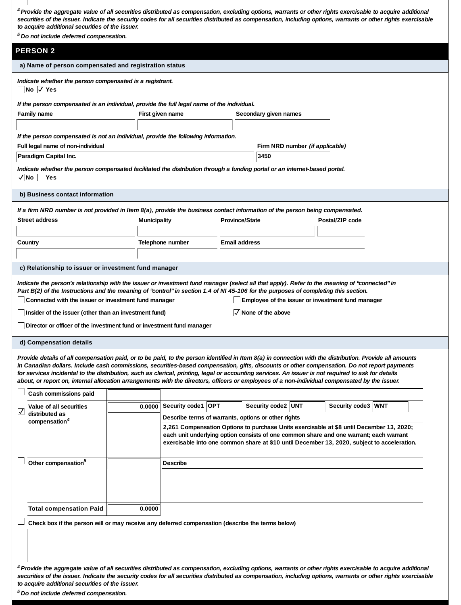| <sup>4</sup> Provide the aggregate value of all securities distributed as compensation, excluding options, warrants or other rights exercisable to acquire additional<br>securities of the issuer. Indicate the security codes for all securities distributed as compensation, including options, warrants or other rights exercisable<br>to acquire additional securities of the issuer.<br><sup>5</sup> Do not include deferred compensation.                                                                                                                                                                  |                  |                                                     |                |                             |                                 |                                                                                                                                                                                                                                                                                   |  |
|------------------------------------------------------------------------------------------------------------------------------------------------------------------------------------------------------------------------------------------------------------------------------------------------------------------------------------------------------------------------------------------------------------------------------------------------------------------------------------------------------------------------------------------------------------------------------------------------------------------|------------------|-----------------------------------------------------|----------------|-----------------------------|---------------------------------|-----------------------------------------------------------------------------------------------------------------------------------------------------------------------------------------------------------------------------------------------------------------------------------|--|
| <b>PERSON 2</b>                                                                                                                                                                                                                                                                                                                                                                                                                                                                                                                                                                                                  |                  |                                                     |                |                             |                                 |                                                                                                                                                                                                                                                                                   |  |
| a) Name of person compensated and registration status                                                                                                                                                                                                                                                                                                                                                                                                                                                                                                                                                            |                  |                                                     |                |                             |                                 |                                                                                                                                                                                                                                                                                   |  |
| Indicate whether the person compensated is a registrant.<br>$\Box$ No $\Box$ Yes                                                                                                                                                                                                                                                                                                                                                                                                                                                                                                                                 |                  |                                                     |                |                             |                                 |                                                                                                                                                                                                                                                                                   |  |
| If the person compensated is an individual, provide the full legal name of the individual.<br>Family name                                                                                                                                                                                                                                                                                                                                                                                                                                                                                                        | First given name |                                                     |                | Secondary given names       |                                 |                                                                                                                                                                                                                                                                                   |  |
|                                                                                                                                                                                                                                                                                                                                                                                                                                                                                                                                                                                                                  |                  |                                                     |                |                             |                                 |                                                                                                                                                                                                                                                                                   |  |
| If the person compensated is not an individual, provide the following information.<br>Full legal name of non-individual<br>Paradigm Capital Inc.                                                                                                                                                                                                                                                                                                                                                                                                                                                                 |                  |                                                     |                | 3450                        | Firm NRD number (if applicable) |                                                                                                                                                                                                                                                                                   |  |
| Indicate whether the person compensated facilitated the distribution through a funding portal or an internet-based portal.                                                                                                                                                                                                                                                                                                                                                                                                                                                                                       |                  |                                                     |                |                             |                                 |                                                                                                                                                                                                                                                                                   |  |
| $\sqrt{}$ No $\sqrt{}$ Yes                                                                                                                                                                                                                                                                                                                                                                                                                                                                                                                                                                                       |                  |                                                     |                |                             |                                 |                                                                                                                                                                                                                                                                                   |  |
| b) Business contact information                                                                                                                                                                                                                                                                                                                                                                                                                                                                                                                                                                                  |                  |                                                     |                |                             |                                 |                                                                                                                                                                                                                                                                                   |  |
| If a firm NRD number is not provided in Item 8(a), provide the business contact information of the person being compensated.<br>Street address                                                                                                                                                                                                                                                                                                                                                                                                                                                                   | Municipality     |                                                     | Province/State |                             |                                 | Postal/ZIP code                                                                                                                                                                                                                                                                   |  |
| Country                                                                                                                                                                                                                                                                                                                                                                                                                                                                                                                                                                                                          |                  | Telephone number                                    | Email address  |                             |                                 |                                                                                                                                                                                                                                                                                   |  |
|                                                                                                                                                                                                                                                                                                                                                                                                                                                                                                                                                                                                                  |                  |                                                     |                |                             |                                 |                                                                                                                                                                                                                                                                                   |  |
| c) Relationship to issuer or investment fund manager                                                                                                                                                                                                                                                                                                                                                                                                                                                                                                                                                             |                  |                                                     |                |                             |                                 |                                                                                                                                                                                                                                                                                   |  |
| Indicate the person's relationship with the issuer or investment fund manager (select all that apply). Refer to the meaning of "connected" in<br>Part B(2) of the Instructions and the meaning of "control" in section 1.4 of NI 45-106 for the purposes of completing this section.<br>Connected with the issuer or investment fund manager<br>Insider of the issuer (other than an investment fund)<br>Director or officer of the investment fund or investment fund manager                                                                                                                                   |                  |                                                     |                | $\sqrt{}$ None of the above |                                 | Employee of the issuer or investment fund manager                                                                                                                                                                                                                                 |  |
| d) Compensation details                                                                                                                                                                                                                                                                                                                                                                                                                                                                                                                                                                                          |                  |                                                     |                |                             |                                 |                                                                                                                                                                                                                                                                                   |  |
| Provide details of all compensation paid, or to be paid, to the person identitied in Item 8(a) in connection with the distribution. Provide all amounts<br>in Canadian dollars. Include cash commissions, securities-based compensation, gifts, discounts or other compensation. Do not report payments<br>for services incidental to the distribution, such as clerical, printing, legal or accounting services. An issuer is not required to ask for details<br>about, or report on, internal allocation arrangements with the directors, officers or employees of a non-individual compensated by the issuer. |                  |                                                     |                |                             |                                 |                                                                                                                                                                                                                                                                                   |  |
| Cash commissions paid                                                                                                                                                                                                                                                                                                                                                                                                                                                                                                                                                                                            |                  |                                                     |                |                             |                                 |                                                                                                                                                                                                                                                                                   |  |
| Value of all securities<br>⊻<br>distributed as                                                                                                                                                                                                                                                                                                                                                                                                                                                                                                                                                                   | 0.0000           | Security code1 OPT                                  |                | Security code2 UNT          |                                 | Security code3 WNT                                                                                                                                                                                                                                                                |  |
| compensation <sup>4</sup>                                                                                                                                                                                                                                                                                                                                                                                                                                                                                                                                                                                        |                  | Describe terms of warrants, options or other rights |                |                             |                                 | 2,261 Compensation Options to purchase Units exercisable at \$8 until December 13, 2020;<br>each unit underlying option consists of one common share and one warrant; each warrant<br>exercisable into one common share at \$10 until December 13, 2020, subject to acceleration. |  |
| Other compensation <sup>5</sup>                                                                                                                                                                                                                                                                                                                                                                                                                                                                                                                                                                                  |                  | Describe                                            |                |                             |                                 |                                                                                                                                                                                                                                                                                   |  |
| <b>Total compensation Paid</b>                                                                                                                                                                                                                                                                                                                                                                                                                                                                                                                                                                                   | 0.0000           |                                                     |                |                             |                                 |                                                                                                                                                                                                                                                                                   |  |
| Check box if the person will or may receive any deferred compensation (describe the terms below)                                                                                                                                                                                                                                                                                                                                                                                                                                                                                                                 |                  |                                                     |                |                             |                                 |                                                                                                                                                                                                                                                                                   |  |
|                                                                                                                                                                                                                                                                                                                                                                                                                                                                                                                                                                                                                  |                  |                                                     |                |                             |                                 |                                                                                                                                                                                                                                                                                   |  |
| <sup>4</sup> Provide the aggregate value of all securities distributed as compensation, excluding options, warrants or other rights exercisable to acquire additional<br>securities of the issuer. Indicate the security codes for all securities distributed as compensation, including options, warrants or other rights exercisable<br>to acquire additional securities of the issuer.                                                                                                                                                                                                                        |                  |                                                     |                |                             |                                 |                                                                                                                                                                                                                                                                                   |  |

 *Do not include deferred compensation. <sup>5</sup>*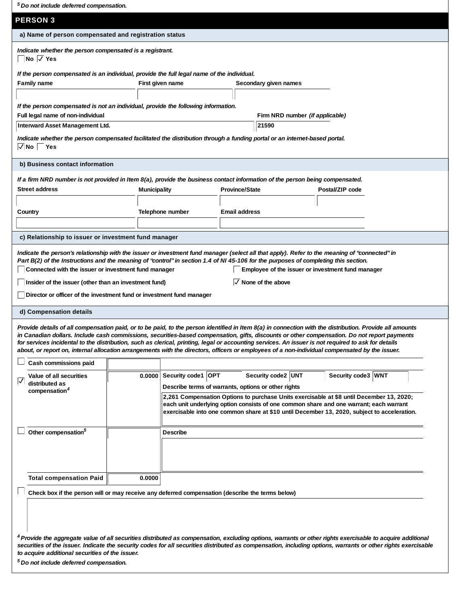*Do not include deferred compensation. <sup>5</sup>*

**PERSON 3**

| Indicate whether the person compensated is a registrant.<br>$\neg$ No $\neg$ Yes | If the person compensated is an individual, provide the full legal name of the individual. |                                        |  |
|----------------------------------------------------------------------------------|--------------------------------------------------------------------------------------------|----------------------------------------|--|
| Family name                                                                      | First given name                                                                           | Secondary given names                  |  |
|                                                                                  | If the person compensated is not an individual, provide the following information.         |                                        |  |
| Full legal name of non-individual                                                |                                                                                            | Firm NRD number <i>(if applicable)</i> |  |
| Interward Asset Management Ltd.                                                  |                                                                                            | 21590                                  |  |

#### **b) Business contact information**

*If a firm NRD number is not provided in Item 8(a), provide the business contact information of the person being compensated.*

| Street address                                       | Municipality     | Province/State | Postal/ZIP code |  |  |
|------------------------------------------------------|------------------|----------------|-----------------|--|--|
| Country                                              | Telephone number | Email address  |                 |  |  |
| c) Relationship to issuer or investment fund manager |                  |                |                 |  |  |

*Indicate the person's relationship with the issuer or investment fund manager (select all that apply). Refer to the meaning of "connected" in Part B(2) of the Instructions and the meaning of "control" in section 1.4 of NI 45-106 for the purposes of completing this section.* **Connected with the issuer or investment fund manager Employee of the issuer or investment fund manager**

**Insider of the issuer (other than an investment fund)**

 $\sqrt{}$  None of the above

**Director or officer of the investment fund or investment fund manager**

#### **d) Compensation details**

 $\Box$ 

*Provide details of all compensation paid, or to be paid, to the person identified in Item 8(a) in connection with the distribution. Provide all amounts in Canadian dollars. Include cash commissions, securities-based compensation, gifts, discounts or other compensation. Do not report payments for services incidental to the distribution, such as clerical, printing, legal or accounting services. An issuer is not required to ask for details about, or report on, internal allocation arrangements with the directors, officers or employees of a non-individual compensated by the issuer.*

| Cash commissions paid                                                                            |        |                       |                                                                                                                                                                                                                                                                                   |                    |  |                    |  |  |
|--------------------------------------------------------------------------------------------------|--------|-----------------------|-----------------------------------------------------------------------------------------------------------------------------------------------------------------------------------------------------------------------------------------------------------------------------------|--------------------|--|--------------------|--|--|
| Value of all securities                                                                          |        | 0.0000 Security code1 | <b>OPT</b>                                                                                                                                                                                                                                                                        | Security code2 UNT |  | Security code3 WNT |  |  |
| ☑<br>distributed as<br>compensation <sup>4</sup>                                                 |        |                       | Describe terms of warrants, options or other rights                                                                                                                                                                                                                               |                    |  |                    |  |  |
|                                                                                                  |        |                       | 2,261 Compensation Options to purchase Units exercisable at \$8 until December 13, 2020;<br>each unit underlying option consists of one common share and one warrant; each warrant<br>exercisable into one common share at \$10 until December 13, 2020, subject to acceleration. |                    |  |                    |  |  |
| Other compensation <sup>5</sup>                                                                  |        | Describe              |                                                                                                                                                                                                                                                                                   |                    |  |                    |  |  |
|                                                                                                  |        |                       |                                                                                                                                                                                                                                                                                   |                    |  |                    |  |  |
|                                                                                                  |        |                       |                                                                                                                                                                                                                                                                                   |                    |  |                    |  |  |
|                                                                                                  |        |                       |                                                                                                                                                                                                                                                                                   |                    |  |                    |  |  |
| <b>Total compensation Paid</b>                                                                   | 0.0000 |                       |                                                                                                                                                                                                                                                                                   |                    |  |                    |  |  |
| Check box if the person will or may receive any deferred compensation (describe the terms below) |        |                       |                                                                                                                                                                                                                                                                                   |                    |  |                    |  |  |

 *Provide the aggregate value of all securities distributed as compensation, excluding options, warrants or other rights exercisable to acquire additional 4 securities of the issuer. Indicate the security codes for all securities distributed as compensation, including options, warrants or other rights exercisable to acquire additional securities of the issuer.*

 *Do not include deferred compensation. <sup>5</sup>*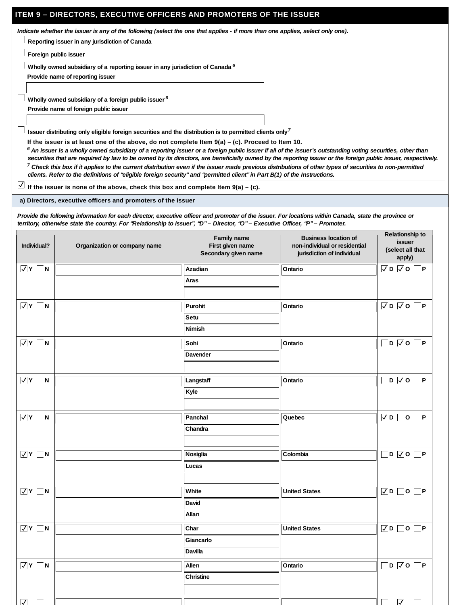## **ITEM 9 – DIRECTORS, EXECUTIVE OFFICERS AND PROMOTERS OF THE ISSUER**

*Indicate whether the issuer is any of the following (select the one that applies - if more than one applies, select only one).*

**Reporting issuer in any jurisdiction of Canada**

**Foreign public issuer**

**Wholly owned subsidiary of a reporting issuer in any jurisdiction of Canada** *6*

**Provide name of reporting issuer**

**Wholly owned subsidiary of a foreign public issuer** *6*

**Provide name of foreign public issuer**

**Issuer distributing only eligible foreign securities and the distribution is to permitted clients only** *7*

**If the issuer is at least one of the above, do not complete Item 9(a) – (c). Proceed to Item 10.**

 $^6$  An issuer is a wholly owned subsidiary of a reporting issuer or a foreign public issuer if all of the issuer's outstanding voting securities, other than *securities that are required by law to be owned by its directors, are beneficially owned by the reporting issuer or the foreign public issuer, respectively. Check this box if it applies to the current distribution even if the issuer made previous distributions of other types of securities to non-permitted 7 clients. Refer to the definitions of "eligible foreign security" and "permitted client" in Part B(1) of the Instructions.*

**If the issuer is none of the above, check this box and complete Item 9(a) – (c).**

**a) Directors, executive officers and promoters of the issuer**

*Provide the following information for each director, executive officer and promoter of the issuer. For locations within Canada, state the province or territory, otherwise state the country. For "Relationship to issuer", "D" – Director, "O" – Executive Officer, "P" – Promoter.*

| Individual?               | Organization or company name | Family name<br>First given name<br>Secondary given name | Business location of<br>non-individual or residential<br>jurisdiction of individual | Relationship to<br>issuer<br>(select all that<br>apply) |
|---------------------------|------------------------------|---------------------------------------------------------|-------------------------------------------------------------------------------------|---------------------------------------------------------|
| $\overline{V}$ Y $\Box$ N |                              | Azadian                                                 | Ontario                                                                             | $\nabla$ D $\nabla$ O $\nabla$ P                        |
|                           |                              | Aras                                                    |                                                                                     |                                                         |
|                           |                              |                                                         |                                                                                     |                                                         |
| $\overline{V}$ Y $\Box$ N |                              | Purohit                                                 | Ontario                                                                             | $\nabla D$ $\nabla O$ $\nabla P$                        |
|                           |                              | Setu                                                    |                                                                                     |                                                         |
|                           |                              | Nimish                                                  |                                                                                     |                                                         |
| $\overline{V}$ Y $\Box$ N |                              | Sohi                                                    | Ontario                                                                             | $D$ $\overline{\vee}$ $O$ $\Box$ $P$                    |
|                           |                              | Davender                                                |                                                                                     |                                                         |
|                           |                              |                                                         |                                                                                     |                                                         |
| $\overline{V}$ Y $\Box$ N |                              | Langstaff                                               | Ontario                                                                             | $\Box$ D $\Box$ O $\Box$ P                              |
|                           |                              | Kyle                                                    |                                                                                     |                                                         |
|                           |                              |                                                         |                                                                                     |                                                         |
| $\overline{V}$ Y $\Box$ N |                              | Panchal                                                 | Quebec                                                                              | $\nabla D$ $\neg$ $\neg$ $\neg$ $\neg$                  |
|                           |                              | Chandra                                                 |                                                                                     |                                                         |
|                           |                              |                                                         |                                                                                     |                                                         |
| $\overline{V}$ Y $\Box$ N |                              | Nosiglia                                                | Colombia                                                                            | $\Box$ d $\Box$<br>$\neg$ P                             |
|                           |                              | Lucas                                                   |                                                                                     |                                                         |
|                           |                              |                                                         |                                                                                     |                                                         |
| $\overline{V}$ Y $\Box$ N |                              | White                                                   | <b>United States</b>                                                                | $\nabla$ D $\Box$ O $\nabla$ P                          |
|                           |                              | David                                                   |                                                                                     |                                                         |
|                           |                              | Allan                                                   |                                                                                     |                                                         |
| $\overline{V}$ Y $\Box$ N |                              | Char                                                    | <b>United States</b>                                                                | $\nabla D$ $\neg$ $\neg$ $\neg$ $\neg$ $\neg$           |
|                           |                              | Giancarlo                                               |                                                                                     |                                                         |
|                           |                              | Davilla                                                 |                                                                                     |                                                         |
| $\overline{V}$ Y $\Box$ N |                              | Allen                                                   | Ontario                                                                             | $\Box$ D $\Box$ O $\Box$ P                              |
|                           |                              | Christine                                               |                                                                                     |                                                         |
|                           |                              |                                                         |                                                                                     |                                                         |
| $\nabla$ $\nabla$         |                              |                                                         |                                                                                     | $\overline{\vee}$                                       |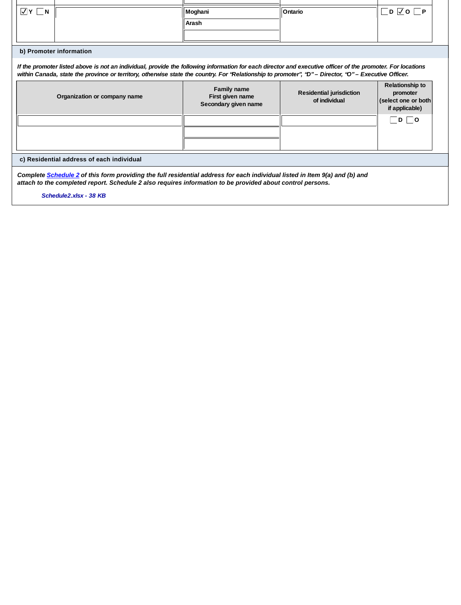| $\sqrt{Y}$ $\Box N$                                                                                                                                                                                                                       |                                                                                                                                                                                                                                                                                                                      | Moghani                                                 | Ontario                                   | _ D   <u>V</u>  O  __ P                                              |  |  |
|-------------------------------------------------------------------------------------------------------------------------------------------------------------------------------------------------------------------------------------------|----------------------------------------------------------------------------------------------------------------------------------------------------------------------------------------------------------------------------------------------------------------------------------------------------------------------|---------------------------------------------------------|-------------------------------------------|----------------------------------------------------------------------|--|--|
|                                                                                                                                                                                                                                           |                                                                                                                                                                                                                                                                                                                      | Arash                                                   |                                           |                                                                      |  |  |
|                                                                                                                                                                                                                                           |                                                                                                                                                                                                                                                                                                                      |                                                         |                                           |                                                                      |  |  |
|                                                                                                                                                                                                                                           | b) Promoter information                                                                                                                                                                                                                                                                                              |                                                         |                                           |                                                                      |  |  |
|                                                                                                                                                                                                                                           | If the promoter listed above is not an individual, provide the following information for each director and executive officer of the promoter. For locations<br>within Canada, state the province or territory, otherwise state the country. For "Relationship to promoter", "D" – Director, "O" – Executive Officer. |                                                         |                                           |                                                                      |  |  |
|                                                                                                                                                                                                                                           | Organization or company name                                                                                                                                                                                                                                                                                         | Family name<br>First given name<br>Secondary given name | Residential jurisdiction<br>of individual | Relationship to<br>promoter<br>(select one or both<br>if applicable) |  |  |
|                                                                                                                                                                                                                                           |                                                                                                                                                                                                                                                                                                                      |                                                         |                                           | $ D $ $ O $                                                          |  |  |
|                                                                                                                                                                                                                                           |                                                                                                                                                                                                                                                                                                                      |                                                         |                                           |                                                                      |  |  |
|                                                                                                                                                                                                                                           |                                                                                                                                                                                                                                                                                                                      |                                                         |                                           |                                                                      |  |  |
| c) Residential address of each individual                                                                                                                                                                                                 |                                                                                                                                                                                                                                                                                                                      |                                                         |                                           |                                                                      |  |  |
| Complete Schedule 2 of this form providing the full residential address for each individual listed in Item 9(a) and (b) and<br>attach to the completed report. Schedule 2 also requires information to be provided about control persons. |                                                                                                                                                                                                                                                                                                                      |                                                         |                                           |                                                                      |  |  |
|                                                                                                                                                                                                                                           | Schedule2.xlsx - 38 KB                                                                                                                                                                                                                                                                                               |                                                         |                                           |                                                                      |  |  |